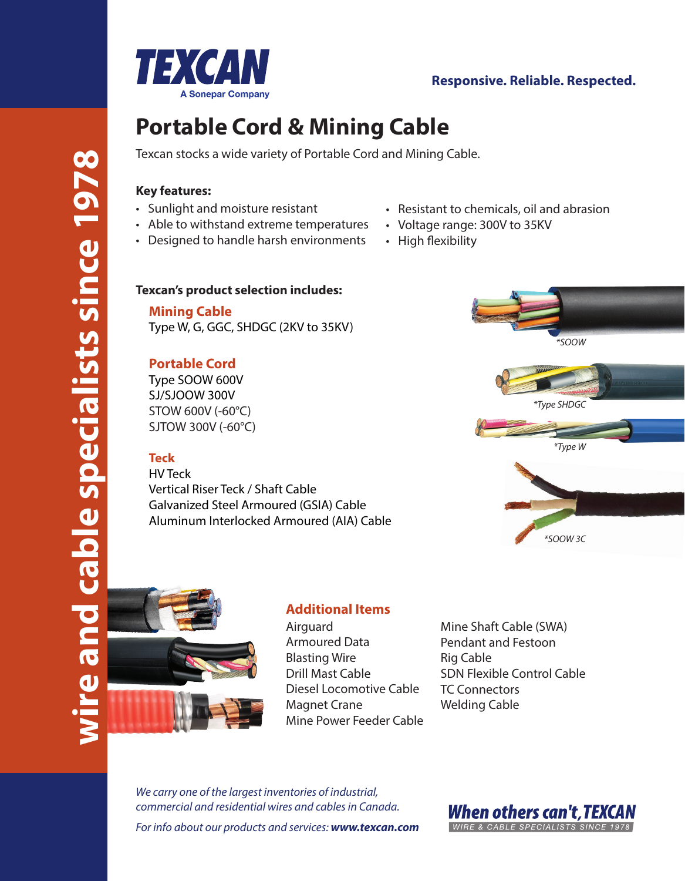

# **Responsive. Reliable. Respected.**

# **Portable Cord & Mining Cable**

Texcan stocks a wide variety of Portable Cord and Mining Cable.

## **Key features:**

- Sunlight and moisture resistant
- Able to withstand extreme temperatures
- Designed to handle harsh environments
- Resistant to chemicals, oil and abrasion
- Voltage range: 300V to 35KV
- High flexibility

## **Texcan's product selection includes:**

**Mining Cable** Type W, G, GGC, SHDGC (2KV to 35KV)

# **Portable Cord**

Type SOOW 600V SJ/SJOOW 300V STOW 600V (-60°C) SJTOW 300V (-60°C)

# **Teck**

HV Teck Vertical Riser Teck / Shaft Cable Galvanized Steel Armoured (GSIA) Cable Aluminum Interlocked Armoured (AIA) Cable





# **Additional Items**

Airguard Armoured Data Blasting Wire Drill Mast Cable Diesel Locomotive Cable Magnet Crane Mine Power Feeder Cable Mine Shaft Cable (SWA) Pendant and Festoon Rig Cable SDN Flexible Control Cable TC Connectors Welding Cable

*We carry one of the largest inventories of industrial, commercial and residential wires and cables in Canada. For info about our products and services: www.texcan.com*